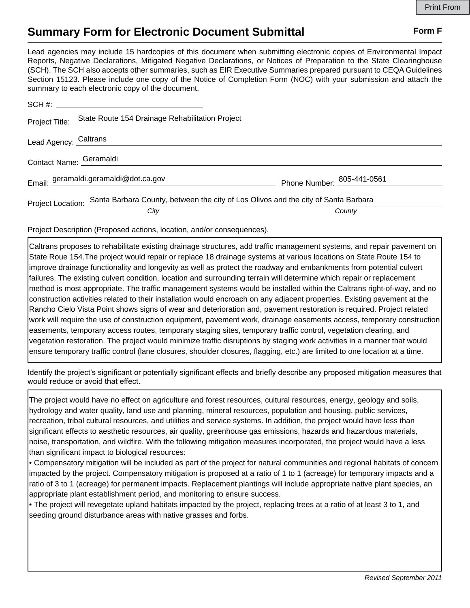## **Summary Form for Electronic Document Submittal Form F Form F**

Lead agencies may include 15 hardcopies of this document when submitting electronic copies of Environmental Impact Reports, Negative Declarations, Mitigated Negative Declarations, or Notices of Preparation to the State Clearinghouse (SCH). The SCH also accepts other summaries, such as EIR Executive Summaries prepared pursuant to CEQA Guidelines Section 15123. Please include one copy of the Notice of Completion Form (NOC) with your submission and attach the summary to each electronic copy of the document.

| Project Title:          | State Route 154 Drainage Rehabilitation Project                                                      |                                   |
|-------------------------|------------------------------------------------------------------------------------------------------|-----------------------------------|
| Lead Agency: Caltrans   |                                                                                                      |                                   |
| Contact Name: Geramaldi |                                                                                                      |                                   |
|                         | Email: geramaldi.geramaldi@dot.ca.gov                                                                | Phone Number: <u>805-441-0561</u> |
|                         | Project Location: Santa Barbara County, between the city of Los Olivos and the city of Santa Barbara |                                   |
|                         | City                                                                                                 | County                            |

Project Description (Proposed actions, location, and/or consequences).

Caltrans proposes to rehabilitate existing drainage structures, add traffic management systems, and repair pavement on State Roue 154.The project would repair or replace 18 drainage systems at various locations on State Route 154 to improve drainage functionality and longevity as well as protect the roadway and embankments from potential culvert failures. The existing culvert condition, location and surrounding terrain will determine which repair or replacement method is most appropriate. The traffic management systems would be installed within the Caltrans right-of-way, and no construction activities related to their installation would encroach on any adjacent properties. Existing pavement at the Rancho Cielo Vista Point shows signs of wear and deterioration and, pavement restoration is required. Project related work will require the use of construction equipment, pavement work, drainage easements access, temporary construction easements, temporary access routes, temporary staging sites, temporary traffic control, vegetation clearing, and vegetation restoration. The project would minimize traffic disruptions by staging work activities in a manner that would ensure temporary traffic control (lane closures, shoulder closures, flagging, etc.) are limited to one location at a time.

Identify the project's significant or potentially significant effects and briefly describe any proposed mitigation measures that would reduce or avoid that effect.

The project would have no effect on agriculture and forest resources, cultural resources, energy, geology and soils, hydrology and water quality, land use and planning, mineral resources, population and housing, public services, recreation, tribal cultural resources, and utilities and service systems. In addition, the project would have less than significant effects to aesthetic resources, air quality, greenhouse gas emissions, hazards and hazardous materials, noise, transportation, and wildfire. With the following mitigation measures incorporated, the project would have a less than significant impact to biological resources:

• Compensatory mitigation will be included as part of the project for natural communities and regional habitats of concern impacted by the project. Compensatory mitigation is proposed at a ratio of 1 to 1 (acreage) for temporary impacts and a ratio of 3 to 1 (acreage) for permanent impacts. Replacement plantings will include appropriate native plant species, an appropriate plant establishment period, and monitoring to ensure success.

• The project will revegetate upland habitats impacted by the project, replacing trees at a ratio of at least 3 to 1, and seeding ground disturbance areas with native grasses and forbs.